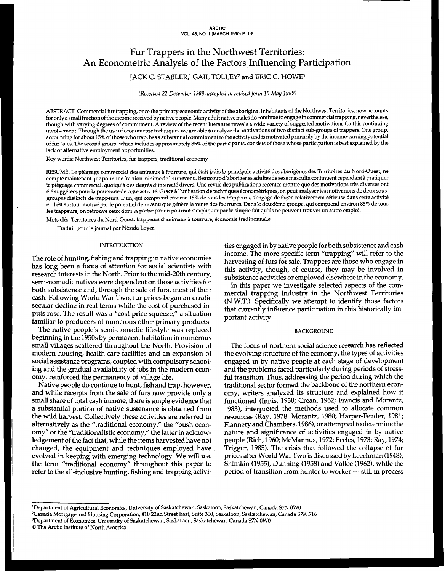# Fur Trappers in the Northwest Territories: An Econometric Analysis of the Factors Influencing Participation IACK C. STABLER,<sup>1</sup> GAIL TOLLEY<sup>2</sup> and ERIC C. HOWE<sup>3</sup>

*(Received 22 December 1988; accepted in revised form* **25** May *1989)* 

ABSTRACT. Commercial fur trapping, once the primary economic activity of the aboriginal inhabitants of the Northwest Territories, now accounts for only a small fraction of the income received by native people. Many adult native males do continue to engage in commercial trapping, nevertheless, though with varying degrees of commitment. A review **of** the recent literature reveals a wide variety of suggested motivations for this continuing involvement. Through the use of econometric techniques we are able to analyze the motivations of **two** distinct sub-groups of trappers. One group, accounting for about 15% of those who trap, has a substantial commitment to the activity and is motivated primarily bythe income-earning potential **of** fur sales. The second group, which includes approximately 85% of the participants, consists of those whose participation is best explained by the lack of alternative employment opportunities.

Key words: Northwest Territories, fur trappers, traditional economy

RÉSUMÉ. Le piégeage commercial des animaux à fourrure, qui était jadis la principale activité des aborigènes des Territoires du Nord-Ouest, ne compte maintenant que pour une fraction minime de leur revenu. Beaucoup d'aborigènesadultes de sexe masculin continuent cependant à pratiquer le piégeage commercial, quoiqu'à des degrés d'intensité divers. Une revue des publications récentes montre que des motivations très diverses ont été suggérées pour la poursuite de cette activité. Grâce à l'utilisation de techniques économétriques, on peut analyser les motivations de deux **SOUS**groupes distincts de trappeurs. L'un, qui comprend environ 15% de tous les trappeurs, s'engage de façon relativement sérieuse dans cette activité et il est surtout motivé par le potentiel de revenu que génère la vente des fourrures. Dans le deuxième groupe, qui comprend environ 85% de tous les trappeurs, on retrouve ceux dont la participation pourrait s'expliquer par le simple fait qu'ils ne peuvent trouver un autre emploi.

Mots clés: Temtoires du Nord-Ouest, trappeurs d'animaux à fourrure, économie traditionnelle

Traduit pour le journal par Nésida Loyer.

#### INTRODUCTION

The role of hunting, fishing and trapping in native economies has long been a focus of attention for social scientists with research interests in the North. Prior to the mid-20th century, semi-nomadic natives were dependent on those activities for both subsistence and, through the sale of furs, most of their cash. Following World War Two, fur prices began an erratic secular decline in real terms while the cost of purchased inputs rose. The result was a "cost-price squeeze," a situation familiar to producers of numerous other primary products.

The native people's semi-nomadic lifestyle was replaced beginning in the 1950s by permanent habitation in numerous small villages scattered throughout the North. Provision of modern housing, health care facilities and an expansion of social assistance programs, coupled with compulsory schooling and the gradual availability of jobs in the modern economy, reinforced the permanency of village life.

Native people do continue to hunt, fish and trap, however, and while receipts from the sale of furs now provide only a small share of total cash income, there is ample evidence that a substantial portion of native sustenance is obtained from the wild harvest. Collectively these activities are referred to alternatively as the "traditional economy," the "bush economy" or the "traditionalistic economy," the latter in acknowledgement of the fact that, while the items harvested have not changed, the equipment and techniques employed have evolved in keeping with emerging technology. We will use the term "traditional economy" throughout this paper to refer to the all-inclusive hunting, fishing and trapping activities engaged in by native people for both subsistence and cash income. The more specific term "trapping" will refer to the harvesting of furs for sale. Trappers are those who engage in this activity, though, of course, they may be involved in subsistence activities or employed elsewhere in the economy.

In this paper we investigate selected aspects of the commercial trapping industry in the Northwest Territories (N.W.T.). Specifically we attempt to identify those factors that currently influence participation in this historically important activity.

## BACKGROUND

The focus of northern social science research has reflected the evolving structure of the economy, the types of activities engaged in by native people at each stage of development and the problems faced particularly during periods of stressful transition. Thus, addressing the period during which the traditional sector formed the backbone of the northern economy, writers analyzed its structure and explained how it functioned (Innis, 1930; Crean, 1962; Francis and Morantz, 1983), interpreted the methods used to allocate common resources (Ray, 1978; Morantz, 1980; Harper-Fender, 1981; Flannery and Chambers, 1986), or attempted to determine the nature and significance of activities engaged in by native people (Rich, 1960; McMannus, 1972; Eccles, 1973; Ray, 1974; Trigger, 1985). The crisis that followed the collapse of fur prices after World War Two is discussed by Leechman (1948), Shimkin (1955), Dunning (1958) and Vallee (1962), while the period of transition from hunter to worker - still in process

<sup>&#</sup>x27;Department of Agricultural Economics, University of Saskatchewan, Saskatoon, Saskatchewan, Canada *S7N* OW0

Tanada Mortgage and Housing Corporation, 410 22nd Street East, Suite *300,* Saskatoon, Saskatchewan, Canada *Sn<* 5T6

<sup>3</sup>Department of Economics, University of Saskatchewan, Saskatoon, Saskatchewan, Canada *S7N* **OW0** 

O The Arctic Institute of North America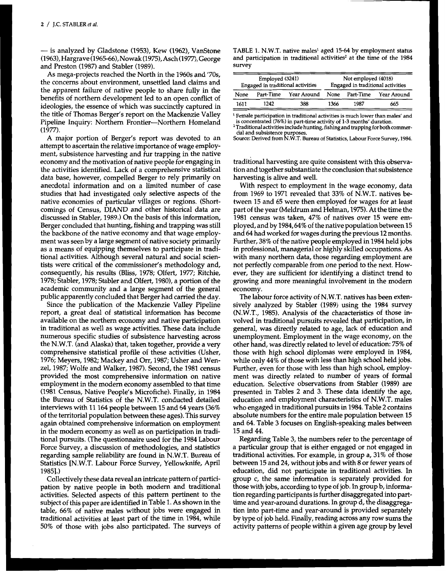- is analyzed by Gladstone (1953), Kew (1962), VanStone (1963), Hargrave (1965-66), Nowak (1975), Asch (1977), George and Preston (1987) and Stabler (1989).

As mega-projects reached the North in the 1960s and '70s, the concerns about environment, unsettled land claims and the apparent failure of native people to share fully in the benefits of northern development led to an open conflict of ideologies, the essence of which was succinctly captured in **1611 1242 388 1366 1987 665**  the title of Thomas Berger's report on the Mackenzie Valley Pipeline Inquiry: Northern Frontier-Northem Homeland (1977).

A major portion of Berger's report was devoted to an attempt to ascertain the relative importance of wage employment, subsistence harvesting and fur trapping in the native economy and the motivation of native people for engaging in the activities identified. Lack of a comprehensive statistical data base, however, compelled Berger to rely primarily on anecdotal information and on a limited number of case studies that had investigated only selective aspects of the native economies of particular villages or regions. (Shortcomings of Census, DIAND and other historical data are discussed in Stabler, 1989.) On the basis of this information, Berger concluded that hunting, fishing and trapping was still the backbone of the native economy and that wage employment was seen by a large segment of native society primarily as a means of equipping themselves to participate in traditional activities. Although several natural and social scientists were critical of the commissioner's methodology and, consequently, his results (Bliss, 1978; Olfert, 1977; Ritchie, 1978; Stabler, 1978; Stabler and Olfert, 1980), a portion of the academic community and a large segment of the general public apparently concluded that Berger had carried the day.

Since the publication of the Mackenzie Valley Pipeline report, a great deal of statistical information has become available on the northern economy and native participation in traditional as well as wage activities. These data include numerous specific studies of subsistence harvesting across the N.W.T. (and Alaska) that, taken together, provide a very comprehensive statistical profile of these activities (Usher, 1976; Meyers, 1982; Mackey and Orr, 1987; Usher and Wenzel, 1987; Wolfe and Walker, 1987). Second, the 1981 census provided the most comprehensive information on native employment in the modem economy assembled to that time (1981 Census, Native People's Microfiche). Finally, in 1984 the Bureau of Statistics of the N.W.T. conducted detailed interviews with 11 **164** people between 15 and *64* years (36% of the territorial population between these ages). This survey again obtained comprehensive information on employment in the modern economy as well as on participation in traditional pursuits. (The questionnaire used for the 1984 Labour Force Survey, a discussion of methodologies, and statistics regarding sample reliability are found in N.W.T. Bureau of Statistics [N.W.T. Labour Force Survey, Yellowknife, April 19851.)

Collectively these data reveal an intricate pattern of participation by native people in both modern and traditional activities. Selected aspects of this pattern pertinent to the subject of this paper are identified in Table 1. As shown in the table, 66% of native males without jobs were engaged in traditional activities at least part of the time in 1984, while 50% of those with jobs also participated. The surveys of

**TABLE** 1. N.W.T. **native males' aged 15-64 by employment status**  and participation in traditional activities<sup>2</sup> at the time of the 1984 **survey** 

| Employed (3241)<br>Engaged in traditional activities |           |             | Not employed (4018)<br>Engaged in traditional activities |                |             |  |
|------------------------------------------------------|-----------|-------------|----------------------------------------------------------|----------------|-------------|--|
| None                                                 | Part-Time | Year Around |                                                          | None Part-Time | Year Around |  |
| 1611                                                 | 1242      | 388         | 1366                                                     | 1987           | 665         |  |

' **Female participation** in **traditional activities is much lower than males' and is concentrated (76%) in part-time activity of 1-3 months' duration.** 

<sup>2</sup> Traditional activities include hunting, fishing and trapping for both commer-

**Source: Derived from N.W.T. Bureau** of **Statistics, Labour Force Survey, 1984. cia1 and subsistence purposes.** 

traditional harvesting are quite consistent with this observation and together substantiate the conclusion that subsistence harvesting is alive and well.

With respect to employment in the wage economy, data from 1969 to 1971 revealed that 33% of N.W.T. natives between 15 and *65* were then employed for wages for at least part of the year (Meldrum and Helman, 1975). At the time the 1981 census was taken, 47% of natives over 15 were employed, and by 1984, 64% of the native population between 15 and *64* had worked for wages during the previous 12 months. Further, 38% of the native people employed **in** 1984 held jobs in professional, managerial or highly skilled occupations. **As**  with many northern data, those regarding employment are not perfectly comparable from one period to the next. However, they are sufficient for identifying a distinct trend to growing and more meaningful involvement in the modem economy.

The labour force activity of N.W.T. natives has been extensively analyzed by Stabler (1989) using the 1984 survey (N.W.T., 1985). Analysis of the characteristics of those involved in traditional pursuits revealed that participation, in general, was directly related to age, lack of education and unemployment. Employment in the wage economy, on the other hand, was directly related to level of education: 75% of those with high school diplomas were employed in 1984, while only **44%** of those with less than high school held jobs. Further, even for those with less than high school, employment was directly related to number of years of formal education. Selective observations from Stabler (1989) are presented in Tables **2** and 3. These data identify the age, education and employment characteristics of N.W.T. males who engaged in traditional pursuits in 1984. Table 2 contains absolute numbers for the entire male population between 15 and **64.** Table 3 focuses **on** English-speaking males between 15 and **44.** 

Regarding Table 3, the numbers refer to the percentage of a particular group that is either engaged or not engaged in traditional activities. For example, in group a, 31% of those between 15 and 24, without jobs and with 8 or fewer years of education, did not participate in traditional activities. In group c, the same information is separately provided for those with jobs, according to type of job. In group b, information regarding participants is further disaggregated into parttime and year-around durations. In group d, the disaggregation into part-time and year-around is provided separately by type of job held. Finally, reading across any row sums the activity patterns of people within a given age group by level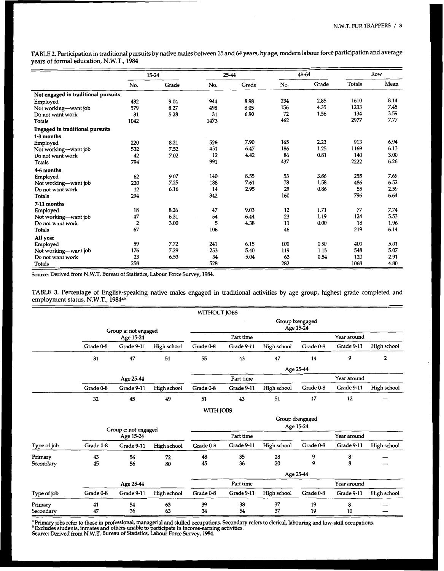TABLE **2.** Participation in traditional pursuits by native males between **15** and *64* years, by age, modern labour force participation and average years of formal education, N.W.T., 1984

|                                     |                  | $15 - 24$      |      | 25-44 |     | 45-64 |        | Row            |
|-------------------------------------|------------------|----------------|------|-------|-----|-------|--------|----------------|
|                                     | _______<br>No.   | _____<br>Grade | No.  | Grade | No. | Grade | Totals | Mean           |
| Not engaged in traditional pursuits |                  |                |      |       |     |       |        |                |
| Employed                            | 432              | 9.04           | 944  | 8.98  | 234 | 2.85  | 1610   | 8.14           |
| Not working-want job                | 579              | 8.27           | 498  | 8.05  | 156 | 4.35  | 1233   | 7.45           |
| Do not want work                    | 31               | 5.28           | 31   | 6.90  | 72  | 1.56  | 134    |                |
| Totals                              | 1042             |                | 1473 |       | 462 |       | 2977   | 3.59<br>7.77   |
| Engaged in traditional pursuits     |                  |                |      |       |     |       |        |                |
| 1-3 months                          |                  |                |      |       |     |       |        | 6.94           |
| Employed                            | 220              | 8.21           | 528  | 7.90  | 165 | 2.23  | 913    |                |
| Not working-want job                | 532              | 7.52           | 451  | 6.47  | 186 | 1.25  | 1169   | 6.13           |
| Do not want work                    | $\frac{42}{794}$ | 7.02           | 12   | 4.42  | 86  | 0.81  | 140    | 3.00           |
| Totals                              |                  |                | 991  |       | 437 |       | 2222   | 6.26           |
| 4-6 months                          |                  |                |      |       |     |       |        |                |
| Employed                            | 62               | 9.07           | 140  | 8.55  | 53  | 3.86  | 255    | 7.69           |
| Not working-want job                | 220              | 7.25           | 188  | 7.61  | 78  | 1.58  | 486    | $6.52$<br>2.59 |
| Do not want work                    | 12               | 6.16           | 14   | 2.95  | 29  | 0.86  | 55     |                |
| Totals                              | 294              |                | 342  |       | 160 |       | 796    | 6.64           |
| 7-11 months                         |                  |                |      |       |     |       |        |                |
| Employed                            | 18               | 8.26           | 47   | 9.03  | 12  | 1.71  | 77     | 7.74           |
| Not working-want job                | 47               | 6.31           | 54   | 6.44  | 23  | 1.19  | 124    | 5.53           |
| Do not want work                    |                  | 3.00           |      | 4.38  | 11  | 0.00  | 18     | 1.96           |
| <b>Totals</b>                       | 67               |                | 106  |       | 46  |       | 219    | 6.14           |
|                                     |                  |                |      |       |     |       |        |                |
| All year                            |                  |                |      |       |     |       |        |                |
| Employed                            | 59               | 7.72           | 241  | 6.15  | 100 | 0.50  | 400    | 5.01<br>5.07   |
| Not working-want job                | 176              | 7.29           | 253  | 5.40  | 119 | 1.15  | 548    |                |
| Do not want work                    | 23               | 6.53           | 34   | 5.04  | 63  | 0.54  | 120    | 2.91           |
| Totals                              | 258              |                | 528  |       | 282 |       | 1068   | 4.80           |

Source: Derived **from** N.W.T. Bureau of Statistics, Labour Force Survey, 1984.

TABLE **3.** Percentage of English-speaking native males engaged in traditional activities by age group, highest grade completed and employment status, N.W.T., 1984ª<sup>,b"</sup>

|                      |           |                      |             | WITHOUT JOBS |            |             |                              |             |                |
|----------------------|-----------|----------------------|-------------|--------------|------------|-------------|------------------------------|-------------|----------------|
|                      |           | Group a: not engaged |             |              |            |             | Group b:engaged<br>Age 15-24 |             |                |
|                      |           | Age 15-24            |             |              | Part time  |             |                              | Year around |                |
|                      | Grade 0-8 | Grade 9-11           | High school | Grade 0-8    | Grade 9-11 | High school | Grade 0-8                    | Grade 9-11  | High school    |
|                      | 31        | 47                   | 51          | 55           | 43         | 47          | 14                           | 9           | $\overline{2}$ |
|                      |           |                      |             |              |            |             | Age 25-44                    |             |                |
|                      |           | Age 25-44            |             |              | Part time  |             |                              | Year around |                |
|                      | Grade 0-8 | Grade 9-11           | High school | Grade 0-8    | Grade 9-11 | High school | Grade 0-8                    | Grade 9-11  | High school    |
|                      | 32        | 45                   | 49          | 51           | 43         | 51          | 17                           | 12          | —              |
|                      |           |                      |             | WITH JOBS    |            |             |                              |             |                |
|                      |           | Group c: not engaged |             |              |            |             | Group d:engaged<br>Age 15-24 |             |                |
|                      |           | Age 15-24            |             |              | Part time  |             |                              | Year around |                |
| Type of job          | Grade 0-8 | Grade 9-11           | High school | Grade 0-8    | Grade 9-11 | High school | Grade 0-8                    | Grade 9-11  | High school    |
| Primary<br>Secondary | 43<br>45  | 56<br>56             | 72<br>80    | 48<br>45     | 35<br>36   | 28<br>20    | 9<br>$\mathbf Q$             | 8<br>8      |                |
|                      |           |                      |             |              |            |             | Age 25-44                    |             |                |
|                      |           | Age 25-44            |             |              | Part time  |             |                              | Year around |                |
| Type of job          | Grade 0-8 | Grade 9-11           | High school | Grade 0-8    | Grade 9-11 | High school | Grade 0-8                    | Grade 9-11  | High school    |
| Primary<br>Secondary | 41<br>47  | 54<br>36             | 63<br>63    | 39<br>34     | 38<br>54   | 37<br>37    | 19<br>19                     | 8<br>10     | —              |

**:**<br>Primary jobs refer to those in professional, managerial and skilled occupations. Secondary refers to clerical, labouring and low-skill occupations. <sup>,</sup> Excludes students, inmates and others unable to participate in income-earning activities.  $\sim$  Source: Derived from N.W.T. Bureau of Statistics, Labour Force Survey, 1984.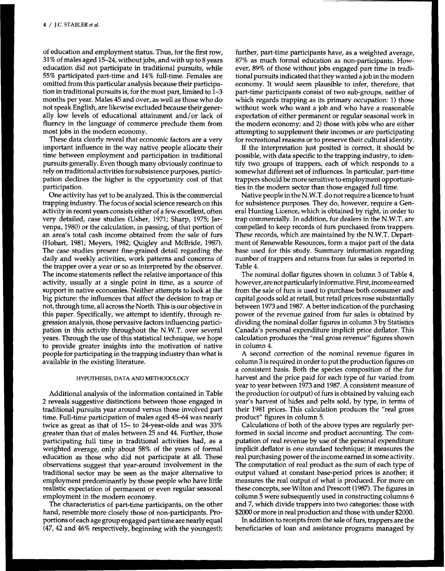of education and employment status. Thus, for the first row, 31 % of males aged 15-24, without jobs, and with up to 8 years education did not participate in traditional pursuits, while 55% participated part-time and 14% full-time. Females are omitted from this particular analysis because their participation in traditional pursuits is, for the most part, limited to 1-3 months per year. Males 45 and over, as well as those who do not speak English, are likewise excluded because their generally low levels of educational attainment and/or lack of fluency in the language of commerce preclude them from most jobs in the modern economy.

These data clearly reveal that economic factors are a very important influence in the way native people allocate their time between employment and participation in traditional pursuits generally. Even though many obviously continue to rely on traditional activities for subsistence purposes, participation declines the higher is the opportunity cost of that participation.

One activity has yet to be analyzed. This is the commercial trapping industry. The focus of social science research on this activity in recent years consists either of a few excellent, often very detailed, case studies (Usher, 1971; Sharp, 1975; Jarvenpa, 1980) or the calculation, in passing, of that portion of an area's total cash income obtained from the sale of furs (Hobart, 1981; Meyers, 1982; Quigley and McBride, 1987). The case studies present fine-grained detail regarding the daily and weekly activities, work patterns and concerns of the trapper over a year or so as interpreted by the observer. The income statements reflect the relative importance of this activity, usually at a single point in time, as a source of support in native economies. Neither attempts to look at the big picture: the influences that affect the decision to trap or not, through time, all across the North. This is our objective in this paper. Specifically, we attempt to identify, through regression analysis, those pervasive factors influencing participation in this activity throughout the N.W.T. over several years. Through the use of this statistical technique, we hope to provide greater insights into the motivation of native people for participating in the trapping industry than what is available in the existing literature.

#### **HYPOTHESES, DATA AND METHODOLOGY**

Additional analysis of the information contained in Table 2 reveals suggestive distinctions between those engaged in traditional pursuits year around versus those involved part time. Full-time participation of males aged 45-64 was nearly twice as great as that of **15-** to 24-year-olds and was 33% greater than that of males between 25 and 44. Further, those participating full time in traditional activities had, as a weighted average, only about 58% of the years of formal education as those who did not participate at all. These observations suggest that year-around involvement in the traditional sector may be seen as the major alternative to employment predominantly by those people who have little realistic expectation of permanent or even regular seasonal employment in the modern economy.

The characteristics of part-time participants, on the other hand, resemble more closely those of non-participants. Proportions of each age group engaged part time are nearly equal (47,42 and 46% respectively, beginning with the youngest);

further, part-time participants have, as a weighted average, 87% as much formal education as non-participants. However, 89% of those without jobs engaged part time in traditional pursuits indicated that they wanted a job in the modern economy. It would seem plausible to infer, therefore, that part-time participants consist of two sub-groups, neither of which regards trapping as its primary occupation: 1) those without work who want a job and who have a reasonable expectation of either permanent or regular seasonal work in the modern economy; and 2) those with jobs who are either attempting to supplement their incomes or are participating for recreational reasons or to preserve their cultural identity.

If the interpretation just posited is correct, it should be possible, with data specific to the trapping industry, to identify two groups of trappers, each of which responds to a somewhat different set of influences. In particular, part-time trappers should be more sensitive to employment opportunities in the modern sector than those engaged full time.

Native people in the N.W.T. do not require a licence to hunt for subsistence purposes. They do, however, require a General Hunting Licence, which is obtained by right, in order to trap commercially. In addition, fur dealers in the N.W.T. are compelled to keep records of furs purchased from trappers. These records, which are maintained by the N.W.T. Department of Renewable Resources, form a major part of the data base used for this study. Summary information regarding number of trappers and returns from fur sales is reported in Table 4.

The nominal dollar figures shown in column 3 of Table 4, however, are not particularly informative. First, income earned from the sale of furs is used to purchase both consumer and capital goods sold at retail, but retail prices rose substantially between 1973 and 1987. A better indication of the purchasing power of the revenue gained from fur sales is obtained by dividing the nominal dollar figures in column 3 by Statistics Canada's personal expenditure implicit price deflator. This calculation produces the "real gross revenue" figures shown in column 4.

A second correction of the nominal revenue figures in column 3 is required in order to put the production figures on a consistent basis. Both the species composition of the fur harvest and the price paid for each type of fur varied from year to year between 1973 and 1987. A consistent measure of the production (or output) of furs is obtained by valuing each year's harvest of hides and pelts sold, by type, in terms of their 1981 prices. This calculation produces the "real gross product" figures in column 5.

Calculations of both of the above types are regularly performed in social income and product accounting. The computation of real revenue by use of the personal expenditure implicit deflator is one standard technique; it measures the real purchasing power of the income earned in some activity. The computation of real product as the sum of each type of output valued at constant base-period prices is another; it measures the real output of what is produced. For more on these concepts, see Wilton and Prescott (1987). The figures in column 5 were subsequently used in constructing columns 6 and 7, which divide trappers into two categories: those with \$2000 or more in real production and those with under \$2000.

In addition to receipts from the sale of furs, trappers are the beneficiaries of loan and assistance programs managed by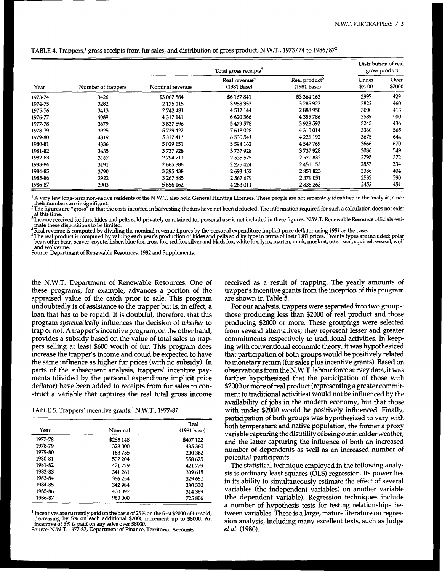|         |                    |                 | Distribution of real<br>gross product    |                                            |                 |                |
|---------|--------------------|-----------------|------------------------------------------|--------------------------------------------|-----------------|----------------|
| Year    | Number of trappers | Nominal revenue | Real revenue <sup>*</sup><br>(1981 Base) | Real product <sup>5</sup><br>$(1981$ Base) | Under<br>\$2000 | Over<br>\$2000 |
| 1973-74 | 3426               | \$3 067 884     | \$6 167 841                              | \$3 364 163                                | 2997            | 429            |
| 1974-75 | 3282               | 2 175 115       | 3958353                                  | 3 285 922                                  | 2822            | 460            |
| 1975-76 | 3413               | 2742481         | 4 5 12 144                               | 2888950                                    | 3000            | 413            |
| 1976-77 | 4089               | 4 3 1 7 1 4 1   | 6620366                                  | 4385786                                    | 3589            | 500            |
| 1977-78 | 3679               | 3837896         | 5479578                                  | 3 9 28 5 92                                | 3243            | 436            |
| 1978-79 | 3925               | 5739422         | 7618028                                  | 4 3 1 0 0 1 4                              | 3360            | 565            |
| 1979-80 | 4319               | 5337411         | 6 530 541                                | 4 2 2 1 1 9 2                              | 3675            | 644            |
| 1980-81 | 4336               | 5 029 151       | 5 594 162                                | 4547769                                    | 3666            | 670            |
| 1981-82 | 3635               | 3737928         | 3737928                                  | 3737928                                    | 3086            | 549            |
| 1982-83 | 3167               | 2794711         | 2 535 575                                | 2 570 832                                  | 2795            | 372            |
| 1983-84 | 3191               | 2665886         | 2 275 424                                | 2451153                                    | 2857            | 334            |
| 1984-85 | 3790               | 3 295 438       | 2693452                                  | 2851823                                    | 3386            | 404            |
| 1985-86 | 2922               | 3 267 885       | 2567679                                  | 2 379 051                                  | 2532            | 390            |
| 1986-87 | 2903               | 5 656 162       | 4 263 011                                | 2835263                                    | 2452            | 451            |

## TABLE **4.** Trappers,' gross receipts from fur sales, and distribution of gross product, N.W.T., 1973/74 to 1986/8y

<sup>1</sup> A very few long-term non-native residents of the N.W.T. also hold General Hunting Licenses. These people are not separately identified in the analysis, since their numbers are insignificant.<br>The figures are "gross" in that the costs incurred in harvesting the furs have not been deducted. The information required for such a calculation does not exist

at this time.

<sup>3</sup> Income received for furs, hides and pelts sold privately or retained for personal use is not included in these figures. N.W.T. Renewable Resource officials estimate these dispositions to be limited.

Real revenue is computed by dividing the nominal revenue figures by the personal expenditure implicit price deflator using 1981 as the base.<br>The real product is computed by valuing each year's production of hides and pelts bear, other bear, beaver, coyote, fisher, blue fox, cross fox, red fox, silver and black fox, white fox, lynx, marten, mink, muskrat, otter, seal, squirrel, weasel, wolf and wolverine.

Source: Department of Renewable Resources, 1982 and Supplements.

the N.W.T. Department of Renewable Resources. One of these programs, for example, advances a portion of the appraised value of the catch prior to sale. This program undoubtedly is of assistance to the trapper but is, in effect, a loan that has to be repaid. It is doubtful, therefore, that this program *systematically* influences the decision of *whether* to trap or not. **A** trapper's incentive program, on the other hand, provides a subsidy based on the value of total sales to trappers selling at least **\$600** worth of fur. This program does increase the trapper's income and could be expected to have the same influence as higher fur prices (with no subsidy). In parts of the subsequent analysis, trappers' incentive payments (divided by the personal expenditure implicit price deflator) have been added to receipts from fur sales to construct a variable that captures the real total gross income

TABLE 5. Trappers' incentive grants,' N.W.T., *1977-87* 

| Year    | Nominal   | Real<br>(1981 base) |
|---------|-----------|---------------------|
| 1977-78 | \$285 148 | \$407 122           |
| 1978-79 | 328 000   | 435360              |
| 1979-80 | 163755    | 200 362             |
| 1980-81 | 502 204   | 558 625             |
| 1981-82 | 421 779   | 421779              |
| 1982-83 | 341 261   | 309 618             |
| 1983-84 | 386 254   | 329 681             |
| 1984-85 | 342 984   | 280 330             |
| 1985-86 | 400.097   | 314 369             |
| 1986-87 | 963 000   | 725 806             |

<sup>1</sup> Incentives are currently paid on the basis of 25% on the first \$2000 of fur sold, decreasing by 5% on each additional \$2000 increment up to \$8000. An incentive of 5% is paid on any sales over \$8000. An Source: N.W.T.

received as a result of trapping. The yearly amounts of trapper's incentive grants from the inception of this program are shown in Table **5.** 

For our analysis, trappers were separated into two groups: those producing less than \$2000 of real product and those producing \$2000 or more. These groupings were selected from several alternatives; they represent lesser and greater commitments respectively to traditional activities. In keeping with conventional economic theory, it was hypothesized that participation of both groups would be positively related to monetary return (fur sales plus incentive grants). Based on observations from the N.W.T. labour force survey data, it was further hypothesized that the participation of those with **\$2000** or more of real product (representing a greater commitment to traditional activities) would not be influenced by the availability of jobs in the modern economy, but that those with under \$2000 would be positively influenced. Finally, participation of both groups was hypothesized to vary with both temperature and native population, the former a proxy variable capturing thedisutility of being out in colder weather, and the latter capturing the influence of both an increased number of dependents as well as an increased number of potential participants.

The statistical technique employed in the following analysis is ordinary least squares (OLS) regression. Its power lies in its ability to simultaneously estimate the effect of several variables (the independent variables) on another variable (the dependent variable). Regression techniques include a number of hypothesis tests for testing relationships between variables. There is a large, mature literature on regression analysis, including many excellent texts, such as Judge *et al.* **(1980).**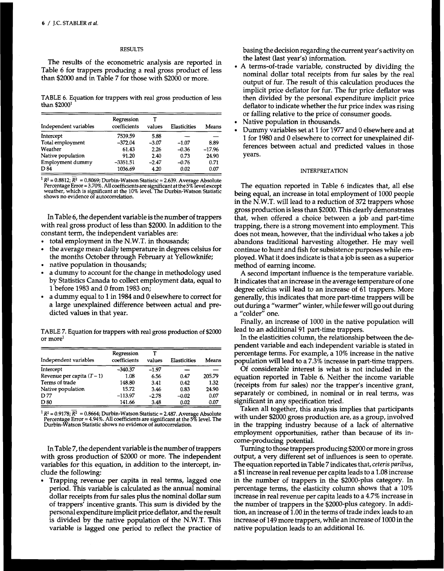#### **RESULTS**

The results of the econometric analysis are reported in Table 6 for trappers producing a real gross product of less than \$2000 and in Table **7** for those with \$2000 or more.

**TABLE** *6.* **Equation for trappers with real gross production of less than** \$2000'

| Independent variables | Regression<br>coefficients | т<br>values | <b>Elasticities</b> | Means    |
|-----------------------|----------------------------|-------------|---------------------|----------|
| Intercept             | 7539.59                    | 5.88        |                     |          |
| Total employment      | $-372.04$                  | $-3.07$     | $-1.07$             | 8.89     |
| Weather               | 61.43                      | 2.26        | $-0.36$             | $-17.96$ |
| Native population     | 91.20                      | 2.40        | 0.73                | 24.90    |
| Employment dummy      | $-3351.51$                 | $-2.47$     | $-0.76$             | 0.71     |
| D 84                  | 1036.69                    | 4.20        | 0.02                | 0.07     |

R² = 0.8812; R² = 0.8069; Durbin-Watson Statistic = 2.639. Average Absolute<br>Percentage Error = 3.70%. All coefficients are significant at the 5% level except<br>weather, which is significant at the 10% level. The Durbin-Wats shows no evidence of autocorrelation.

In Table 6, the dependent variable is the number of trappers with real gross product of less than \$2000. In addition to the constant term, the independent variables are:

- total employment in the N.W.T. in thousands;
- the average mean daily temperature in degrees celsius for the months October through February at Yellowknife;
- native population in thousands;
- a dummy to account for the change in methodology used by Statistics Canada to collect employment data, equal to 1 before **1983** and 0 from **1983** on;
- a dummy equal to 1 in **1984** and 0 elsewhere to correct for a large unexplained difference between actual and predicted values in that year.

**TABLE 7. Equation for trappers with real** gross **production of \$2000 or morel** 

| Independent variables        | Regression<br>coefficients | values  | Elasticities | Means  |
|------------------------------|----------------------------|---------|--------------|--------|
| Intercept                    | $-340.37$                  | $-1.97$ |              |        |
| Revenue per capita $(T - 1)$ | 1.08                       | 6.56    | 0.47         | 205.79 |
| Terms of trade               | 148.80                     | 3.41    | 0.42         | 1.32   |
| Native population            | 15.72                      | 3.46    | 0.83         | 24.90  |
| D 77                         | $-113.97$                  | $-2.78$ | $-0.02$      | 0.07   |
| D 80                         | 141.66                     | 3.48    | 0.02         | 0.07   |

R² = 0.9178; R² = 0.8664; Durbin-Watson Statistic = 2.487. Average Absolute<br>Percentage Error = 4.94%. All coefficients are significant at the 5% level. The<br>Durbin-Watson Statistic shows no evidence of autocorrelation.

In Table **7,** the dependent variable is the number of trappers with gross production of \$2000 or more. The independent variables for this equation, in addition to the intercept, include the following:

Trapping revenue per capita in real terms, lagged one period. This variable is calculated as the annual nominal dollar receipts from fur sales plus the nominal dollar sum of trappers' incentive grants. This sum is divided by the personal expenditure implicit price deflator, and the result is divided by the native population of the N.W.T. This variable is lagged one period to reflect the practice of basing the decision regarding the current year's activity on the latest (last year's) information.

- **A** terms-of-trade variable, constructed by dividing the nominal dollar total receipts from fur sales by the real output of fur. The result of this calculation produces the implicit price deflator for fur. The fur price deflator was then divided by the personal expenditure implicit price deflator to indicate whether the fur price index was rising or falling relative to the price of consumer goods.
- Native population in thousands.
- Dummy variables set at 1 for **1977** and 0 elsewhere and at 1 for **1980** and 0 elsewhere to correct for unexplained differences between actual and predicted values in those years.

## **INTERPRETATION**

The equation reported in Table 6 indicates that, all else being equal, an increase in total employment of 1000 people in the N.W.T. will lead to a reduction of **372** trappers whose gross production is less than \$2000. This clearly demonstrates that, when offered a choice between a job and part-time trapping, there is a strong movement into employment. This does not mean, however, that the individual who takes a job abandons traditional harvesting altogether. He may well continue to hunt and fish for subsistence purposes while employed. What it does indicate is that a job is seen as a superior method of earning income.

**A** second important influence is the temperature variable. It indicates that an increase in the average temperature of one degree celcius will lead to an increase of 61 trappers. More generally, this indicates that more part-time trappers will be out during a "warmer" winter, while fewer will go out during a "colder" one.

Finally, an increase of 1000 in the native population will lead to an additional **91** part-time trappers.

In the elasticities column, the relationship between the dependent variable and each independent variable is stated in percentage terms. For example, a **10%** increase in the native population will lead to a 7.3% increase in part-time trappers.

Of considerable interest is what is not included in the equation reported in Table 6. Neither the income variable (receipts from fur sales) nor the trapper's incentive grant, separately or combined, in nominal or in real terms, was significant in any specification tried.

Taken all together, this analysis implies that participants with under \$2000 gross production are, as a group, involved in the trapping industry because of a lack of alternative employment opportunities, rather than because of its income-producing potential.

Turning to those trappers producing \$2000 or more in gross output, a very different set of influences is seen to operate. The equation reported in Table **7** indicates that, *ceteris paribus,*  a **\$1** increase in real revenue per capita leads to a 1.08 increase in the number of trappers in the \$2OOO-plus category. In percentage terms, the elasticity column shows that a 10% increase in real revenue per capita leads to a **4.7%** increase in the number of trappers in the \$2OOO-plus category. In addition, an increase of 1.00 in the terms of trade index leads to an increase of **149** more trappers, while an increase of 1000 in the native population leads to an additional 16.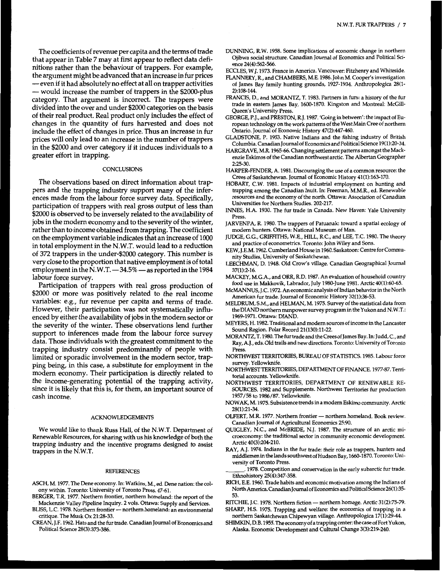The coefficients of revenue per capita and the terms of trade that appear in Table 7 may at first appear to reflect data definitions rather than the behaviour of trappers. For example, the argument might be advanced that an increase in fur prices -even if it had absolutely no effect at all on trapper activities the argument might be advanced that an increase in fur prices<br>-- even if it had absolutely no effect at all on trapper activities<br>-- would increase the number of trappers in the \$2000-plus<br>category. That argument is incorr category. That argument is incorrect. The trappers were divided into the over and under \$2000 categories on the basis of their real product. Real product only includes the effect of changes in the quantity of furs harvested and does not include the effect of changes in price. Thus an increase in fur prices will only lead to an increase in the number of trappers in the \$2000 and over category if it induces individuals to a greater effort in trapping.

### **CONCLUSIONS**

The observations based on direct information about trappers and the trapping industry support many of the inferences made from the labour force survey data. Specifically, participation of trappers with real gross output of less than \$2000 is observed to be inversely related to the availability of jobs in the modern economy and to the severity of the winter, rather than to income obtained from trapping. The coefficient on the employment variable indicates that an increase of 1000 in total employment in the N.W.T. would lead to a reduction of 372 trappers in the under-\$2000 category. This number is very close to the proportion that native employment is of total employment in the N.W.T.  $-34.5\%$   $-$  as reported in the 1984 labour force survey.

Participation of trappers with real gross production of \$2000 or more was positively related to the real income variables: e.g., fur revenue per capita and terms of trade. However, their participation was not systematically influenced by either the availability of jobs in the modern sector or the severity of the winter. These observations lend further support to inferences made from the labour force survey data. Those individuals with the greatest commitment to the trapping industry consist predominantly of people with limited or sporadic involvement in the modern sector, trapping being, in this case, a substitute for employment in the modern economy. Their participation is directly related to the income-generating potential of the trapping activity, since it is likely that this is, for them, an important source of cash income.

#### ACKNOWLEDGEMENTS

We would like to thank Russ Hall, **of** the N.W.T. Department of Renewable Resources, for sharing with **us** his knowledge of both the trapping industry and the incentive programs designed to assist trappers in the N.W.T.

#### REFERENCES

- ASCH, M. **1977.** The Dene economy. In: Watkins, M., *ed.* Dene nation: the colony within. Toronto: University **of** Toronto Press. **47-61.**
- BERGER, T.R. **1977.** Northern frontier, northern homeland: the report of the
- BERGER, T.R. 1977. Northern frontier, northern homeland: the report of the<br>
Mackenzie Valley Pipeline Inquiry. 2 vols. Ottawa: Supply and Services.<br>BLISS, L.C. 1978. Northern frontier northern homeland: an environmental<br> critique. The Musk **Ox 21:28-33.**
- CREAN, J.F. **1962.** Hats and the fur trade. Canadian Journal of Economics and Political Science **28(3):373-386.**

DUNNING, R.W. **1958.** Some implications of economic change in northern Ojibwa social structure. Canadian Journal of Economics and Political Science **24(4):562-566.** 

ECCLES, W.J. 1973. France in America. Vancouver: Fitzhenry and Whiteside.

- FLANNERY, R., and CHAMBERS, M.E. **1986.** John M. Cooper's investigation of James Bay family hunting grounds, **1927-1934.** Anthropologica **28U-2):10&144.**
- FRANCIS, D., and MORANTZ, T. **1983.** Partners in **furs:** a history of the fur trade in eastern James Bay, 1600-1870. Kingston and Montreal: McGill-Queen's University Press.
- GEORGE, P.J., and PRESTON, R.J. **1987.** 'Going in between': the impact of European technology on the work patterns of the West Main Cree of northern Ontario. Journal of Economic History **47(2):447-460.**
- GLADSTONE, P. **1953.** Native Indians and the fishing industry of British Columbia.Canadian Journalof Economics and PoliticalScience **19(1):20-34.**
- HARGRAVE, M.R. **1965-66.** Changing settlement patterns amongst the Mackenzie Eskimos of the Canadian northwest arctic. The Albertan Geographer **225-30.**
- HARPER-FENDER, A. **1981.** Discouraging the use of a common resource: the Crees of Saskatchewan. Journal **of** Economic History **41(1):163-170.**
- HOBART, C.W. **1981.** Impacts **of** industrial employment on hunting and trapping among the Canadian Inuit. In: Freeman, M.M.R., ed. Renewable resources and the economy of the north. Ottawa: Association of Canadian Universities for Northern Studies. **202-217.**
- INNES, H.A. **1930.** The fur trade in Canada. New Haven: Yale University Press.
- JARVENPA, R. 1980. The trappers of Patuanak: toward a spatial ecology of modem hunters. Ottawa: National Museum of Man.
- JUDGE, G.G., GRIFFITHS, W.E., HILL, R.C., and LEE, T.C. **1980.** The theory and practice of econometrics. Toronto: John Wiley and Sons.
- KEW, J.E.M. **1962.** Cumberland Housein **1960.** Saskatoon: Centre for Community Studies, University of Saskatchewan.
- LEECHMAN, D. **1948.** Old Crow's village. Canadian Geographical Journal **37(1):2-16.**
- MACKEY, M.G.A., and ORR, R.D. **1987.** An evaluation of household country food use in Makkovik, Labrador, July 1980-June **1981.** Arctic **40(1):60-65.**
- McMANNUS, J.C. **1972.** An economic analysis ofIndian behavior in the North American fur trade. Journal **of** Economic History **32(1):36-53.**
- MELDRUM, S.M., and HELMAN, M. **1975.** Survey **of** the statistical data from the DIAND northern manpower survey program in the Yukon and N.W.T.: **1969-1971.** Ottawa: DIAND.
- MEYERS, H. **1982.** Traditional and modern sources of income in the Lancaster Sound Region. Polar Record **21(130):11-22.**
- MORANTZ, T. **1980.** The fur trade and the Crees of James Bay. In: Judd,C., and Ray, A.J., **eds.** Old trails and new directions. Toronto: University of Toronto Press.
- NORTHWEST TERRITORIES, BUREAU OF STATISTICS. **1985.** Labour force survey. Yellowknife.
- NORTHWESTTERRITORIES, DEPARTMENT OF FINANCE. **1977-87.** Territorial accounts. Yellowknife.
- SOURCES. **1982** and Supplements. Northwest Territories fur production **1957/58** to **1986/87.** Yellowknife. NORTHWEST TERRITORIES, DEPARTMENT OF RENEWABLE RE-
- NOWAK, M. **1975.** Subsistence trends in a modem Eskimo community. Arctic **28(1):21-34.**
- OLFERT, M.R. 1977. Northern frontier northern homeland. Book review. Canadian Journal **of** Agricultural Economics **25:90.**
- QUIGLEY, N.C., and McBRIDE, N.J. **1987.** The structure **of** an arctic microeconomy: the traditional sector in community economic development. Arctic **40(3):204-210.**
- RAY, A.J. **1974.** Indians in the fur trade: their role as trappers, hunters and middlemen in the lands southwest of Hudson Bay, **1660-1870.** Toronto: University of Toronto Press.
- Ethnohistory **25(4):347-358. ,1978.** Competition and conservation in the early subarctic fur trade.
- RICH, E.E. **1960.** Trade habits and economic motivation among the Indians **of**  North America. Canadian Journal of Economics and Political Science 26(1):35-**53.**
- RITCHIE, J.C. 1978. Northern fiction northern homage. Arctic 31(2):75-79.
- SHARP, H.S. **1975.** Trapping and welfare: the economics of trapping in a northern Saskatchewan Chipewyan village. Anthropologica **17(1):29-44.**
- **SHIMKIN,D.B.l955,Theeconomyofatrappingcenter:thecaseofFortYukon,**  Alaska. Economic Development and Cultural Change **3(3):219-240.**